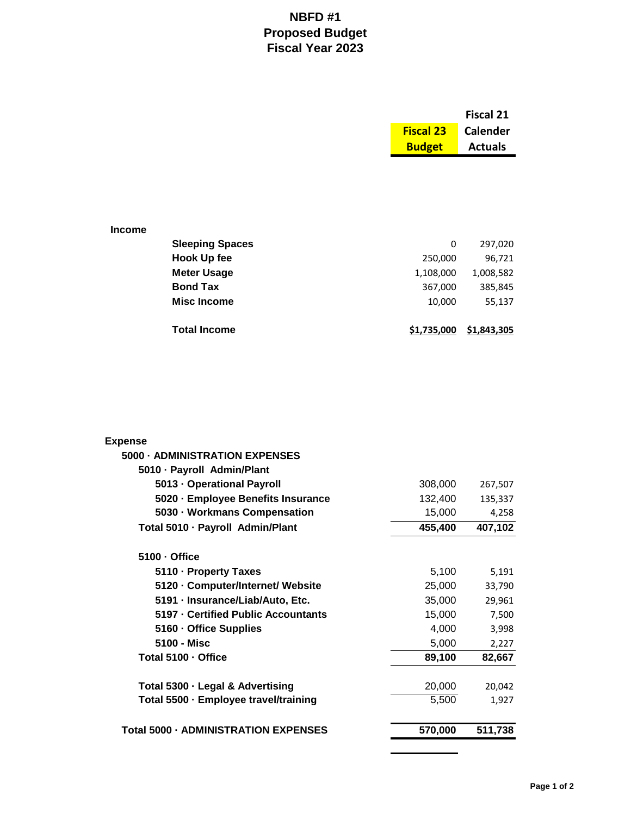## **NBFD #1 Proposed Budget Fiscal Year 2023**

|               |                        |                  | <b>Fiscal 21</b> |
|---------------|------------------------|------------------|------------------|
|               |                        | <b>Fiscal 23</b> | <b>Calender</b>  |
|               |                        | <b>Budget</b>    | <b>Actuals</b>   |
|               |                        |                  |                  |
|               |                        |                  |                  |
|               |                        |                  |                  |
|               |                        |                  |                  |
| <b>Income</b> |                        |                  |                  |
|               | <b>Sleeping Spaces</b> | 0                | 297,020          |
|               | <b>Hook Up fee</b>     | 250,000          | 96,721           |
|               | <b>Meter Usage</b>     | 1,108,000        | 1,008,582        |
|               | <b>Bond Tax</b>        | 367,000          | 385,845          |
|               | <b>Misc Income</b>     | 10,000           | 55,137           |
|               |                        |                  |                  |
|               | <b>Total Income</b>    | \$1,735,000      | \$1,843,305      |

| <b>Expense</b>                              |         |         |
|---------------------------------------------|---------|---------|
| 5000 - ADMINISTRATION EXPENSES              |         |         |
| 5010 · Payroll Admin/Plant                  |         |         |
| 5013 - Operational Payroll                  | 308,000 | 267,507 |
| 5020 · Employee Benefits Insurance          | 132,400 | 135,337 |
| 5030 · Workmans Compensation                | 15,000  | 4,258   |
| Total 5010 · Payroll Admin/Plant            | 455,400 | 407,102 |
| 5100 - Office                               |         |         |
| 5110 · Property Taxes                       | 5,100   | 5,191   |
| 5120 · Computer/Internet/ Website           | 25,000  | 33,790  |
| 5191 - Insurance/Liab/Auto, Etc.            | 35,000  | 29,961  |
| 5197 - Certified Public Accountants         | 15,000  | 7,500   |
| 5160 - Office Supplies                      | 4,000   | 3,998   |
| 5100 - Misc                                 | 5,000   | 2,227   |
| Total 5100 - Office                         | 89,100  | 82,667  |
| Total 5300 - Legal & Advertising            | 20,000  | 20,042  |
| Total 5500 - Employee travel/training       | 5,500   | 1,927   |
| <b>Total 5000 - ADMINISTRATION EXPENSES</b> | 570,000 | 511,738 |